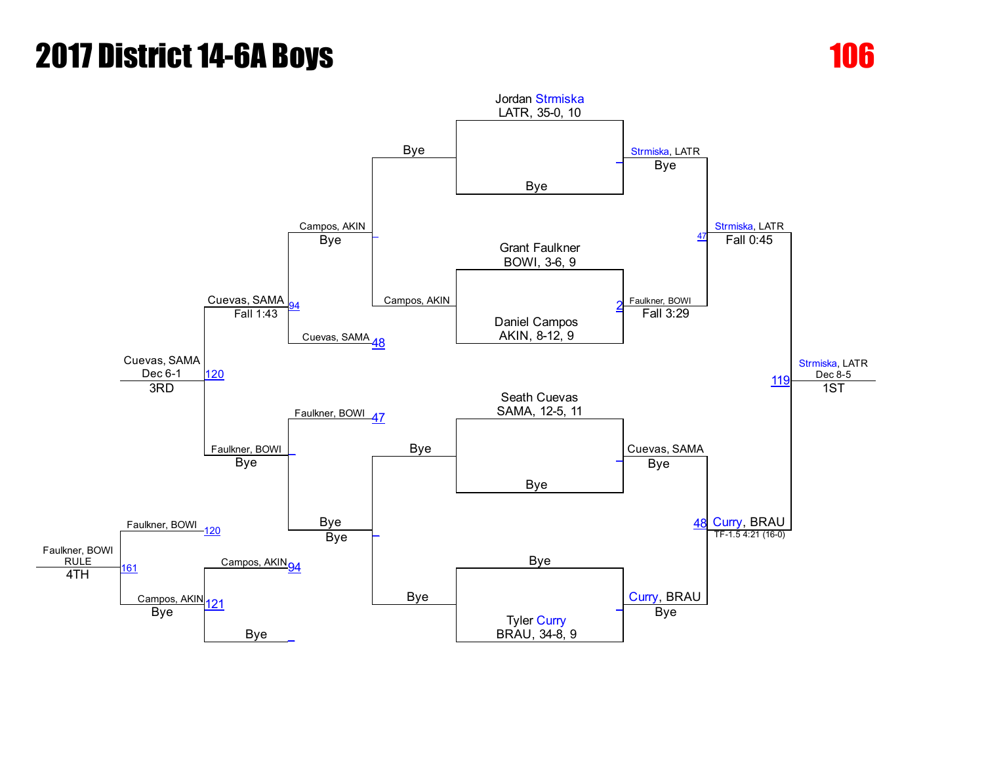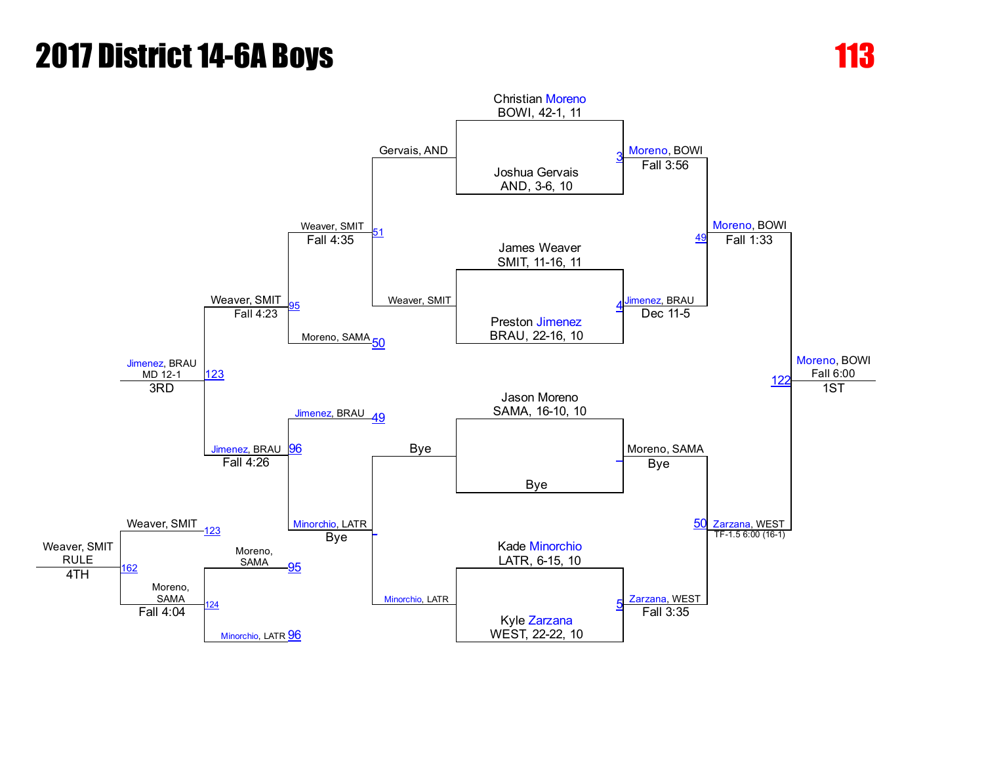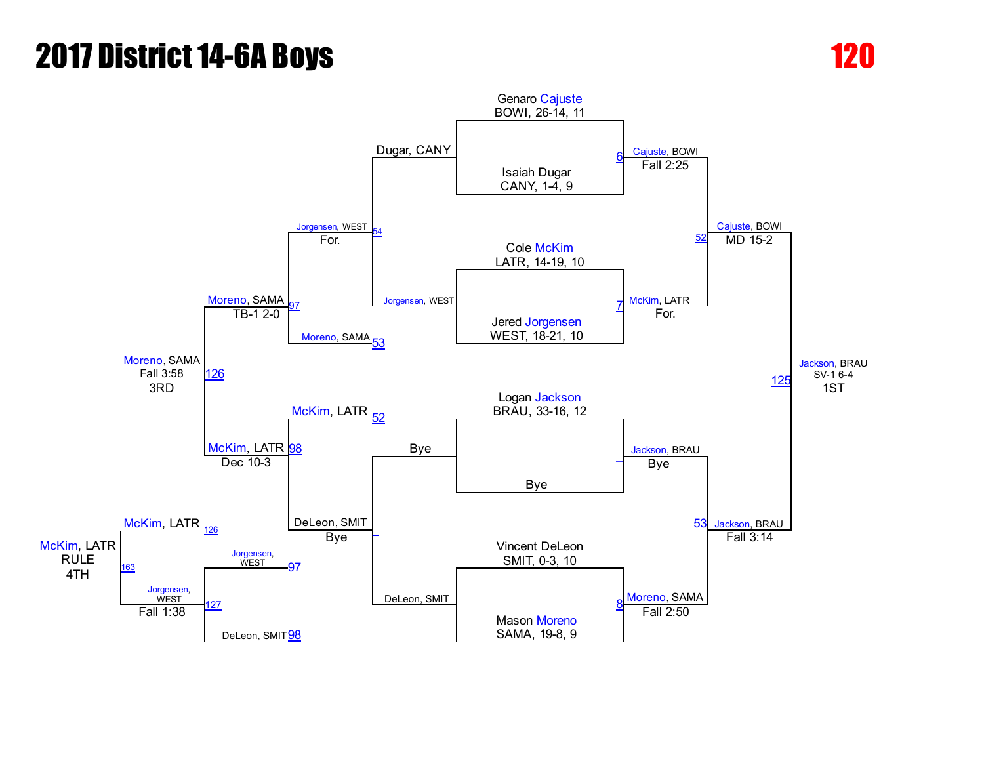## **2017 District 14-6A Boys 120 and 120 and 120 and 120 and 120 and 120 and 120 and 120 and 120 and 120 and 120 and 120 and 120 and 120 and 120 and 120 and 120 and 120 and 120 and 120 and 120 and 120 and 120 and 120 and 120**

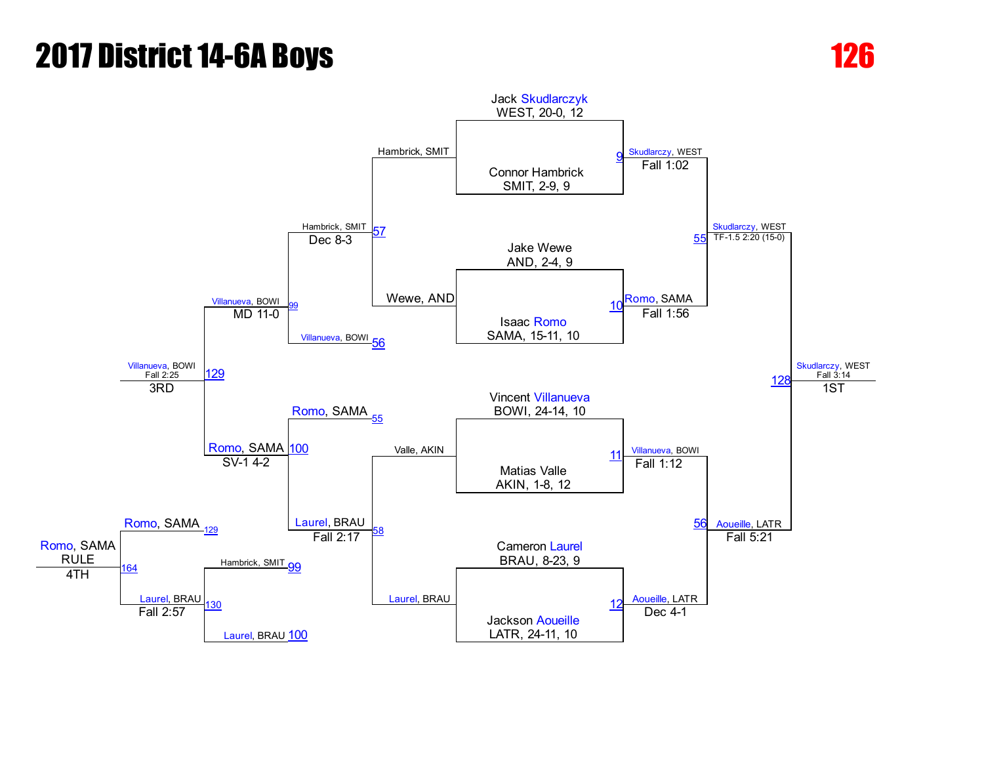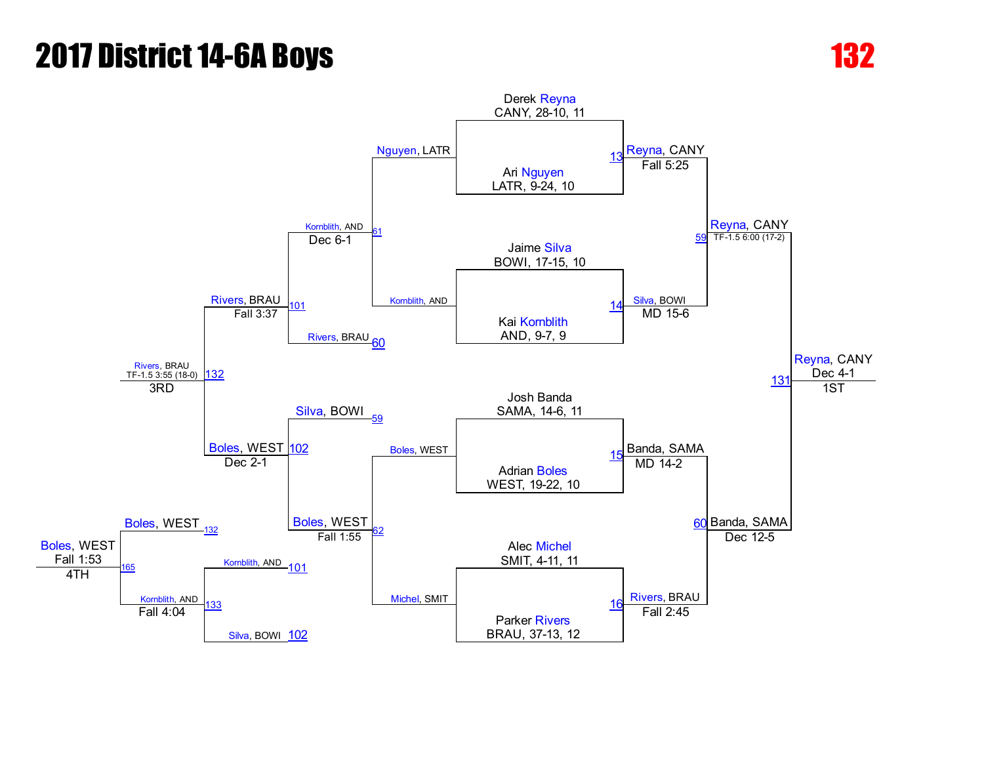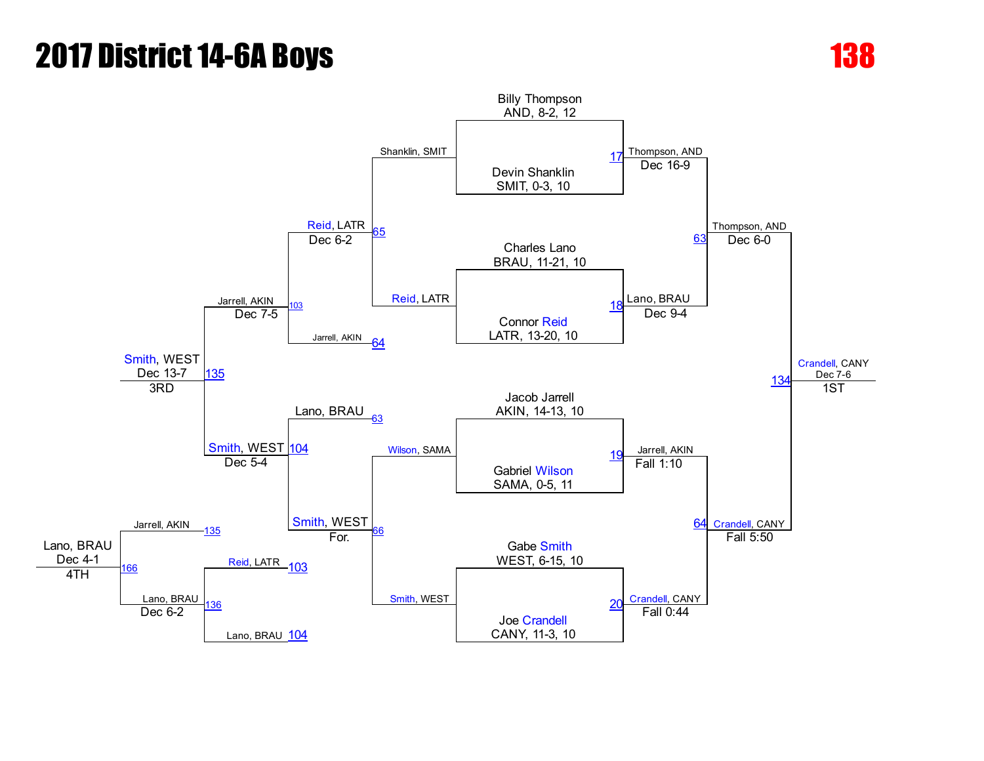

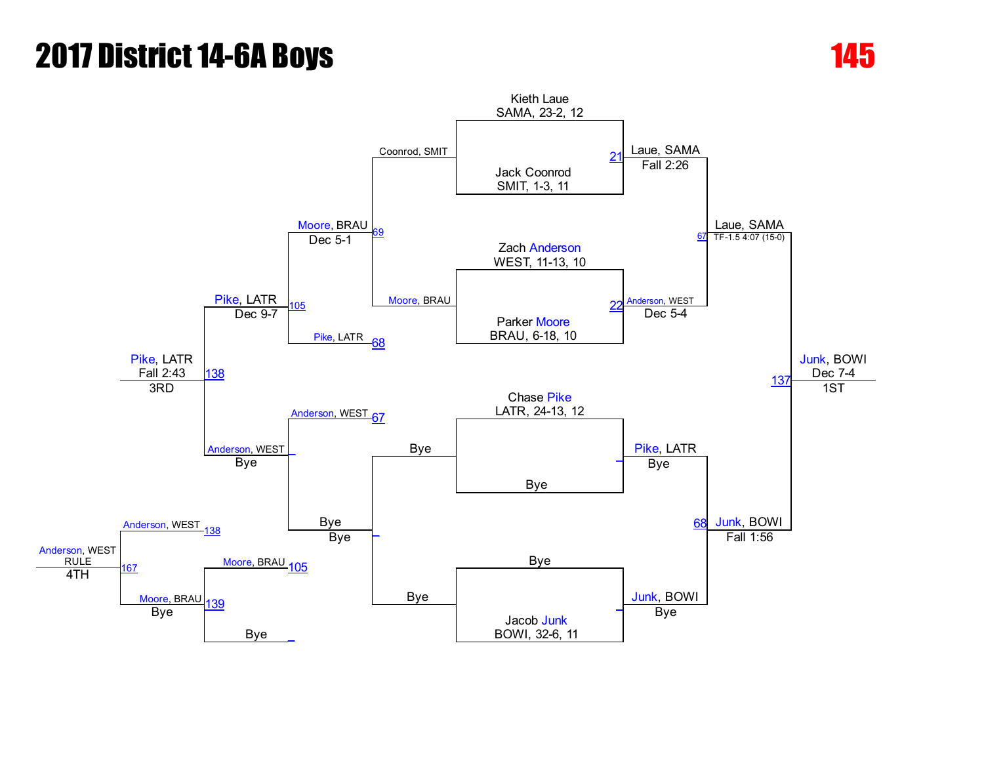

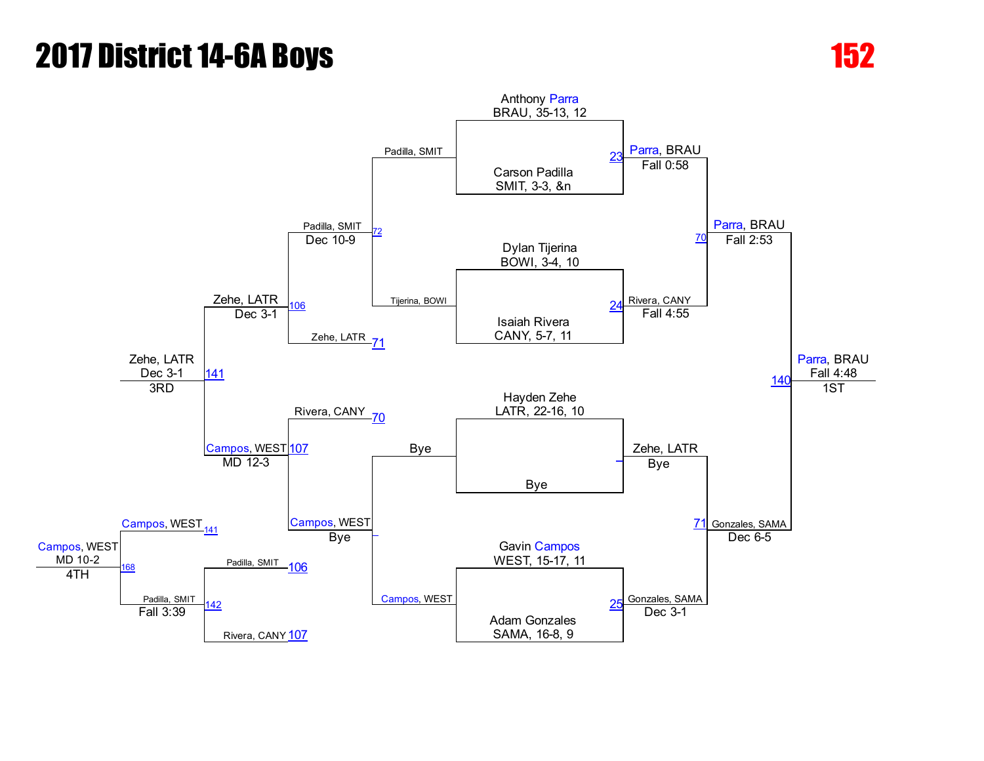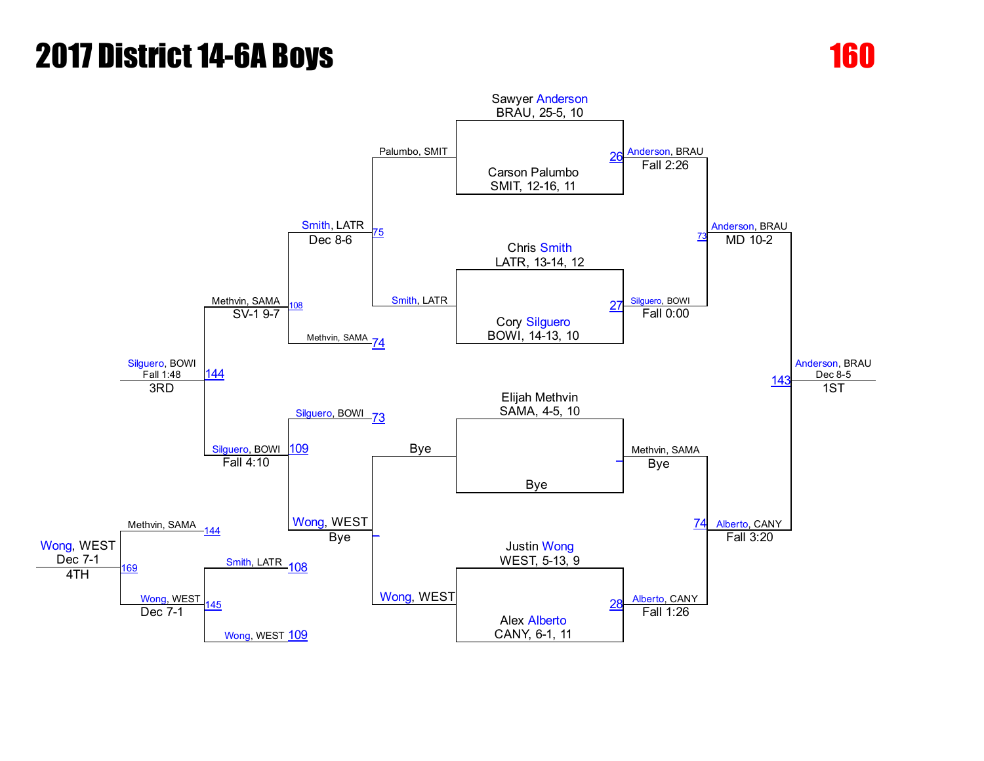

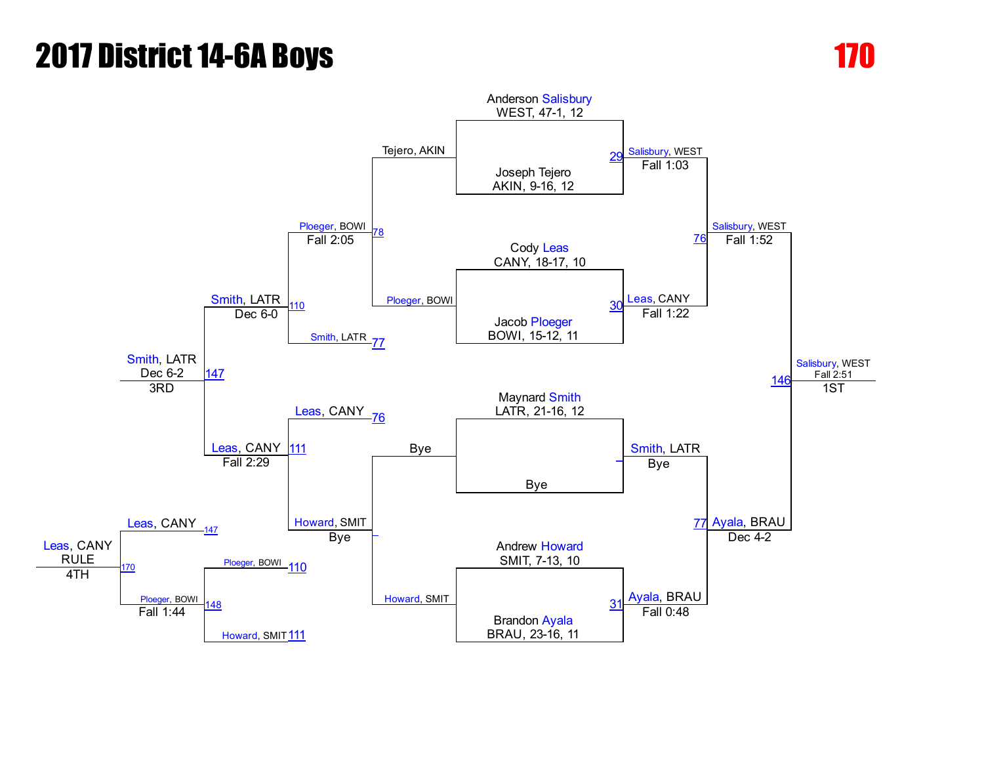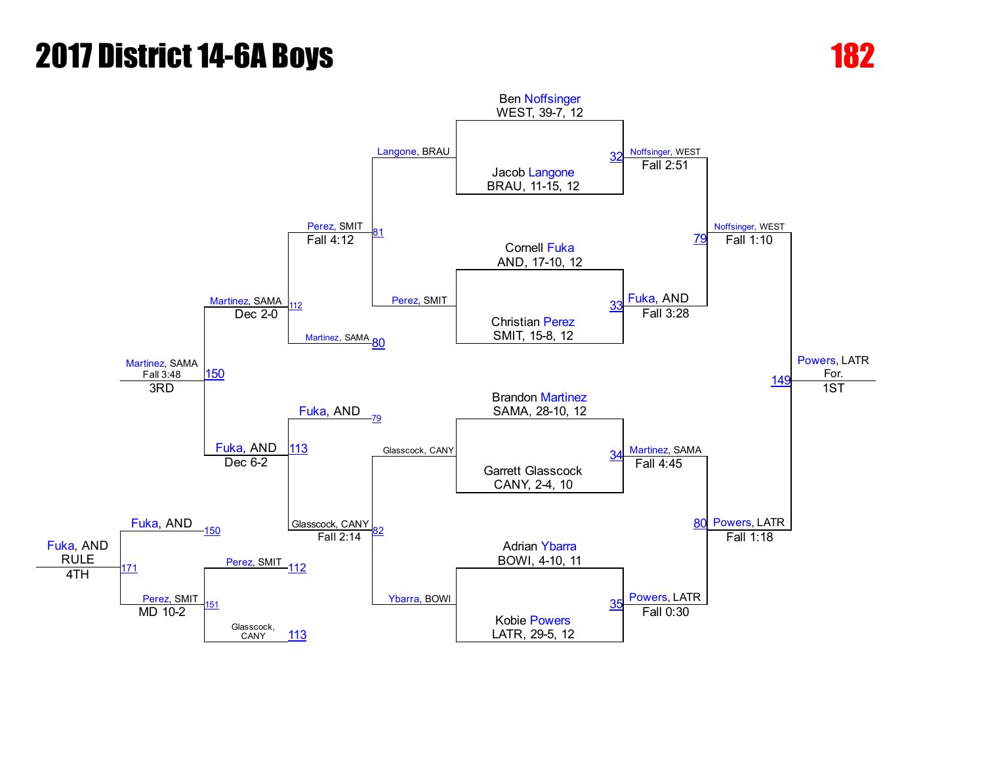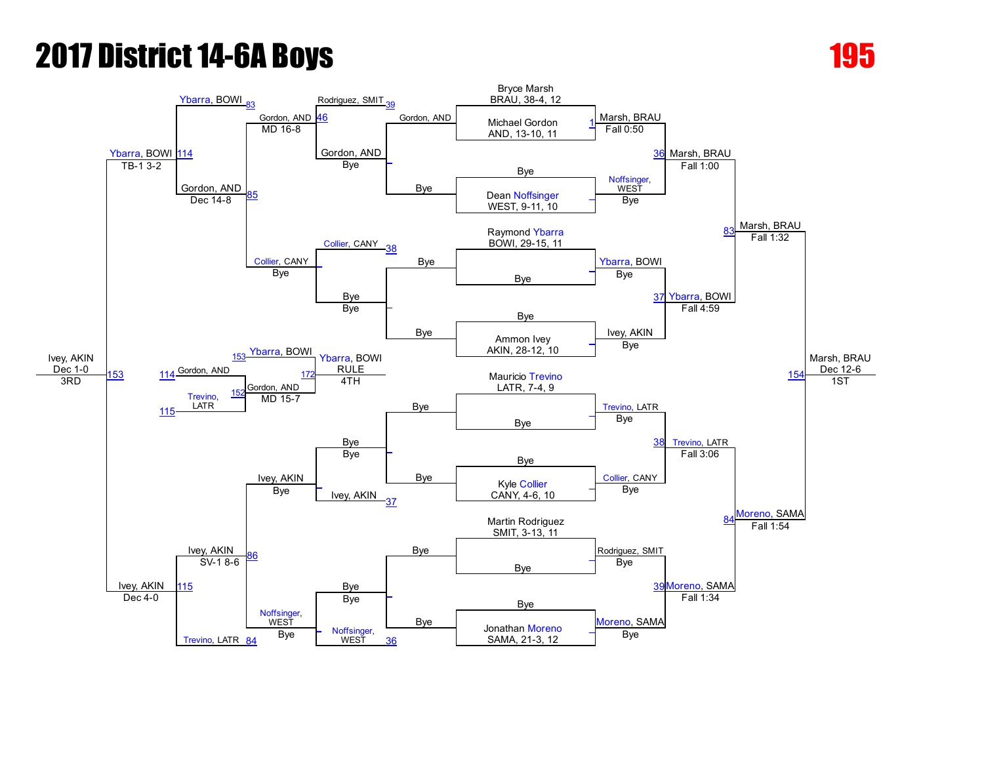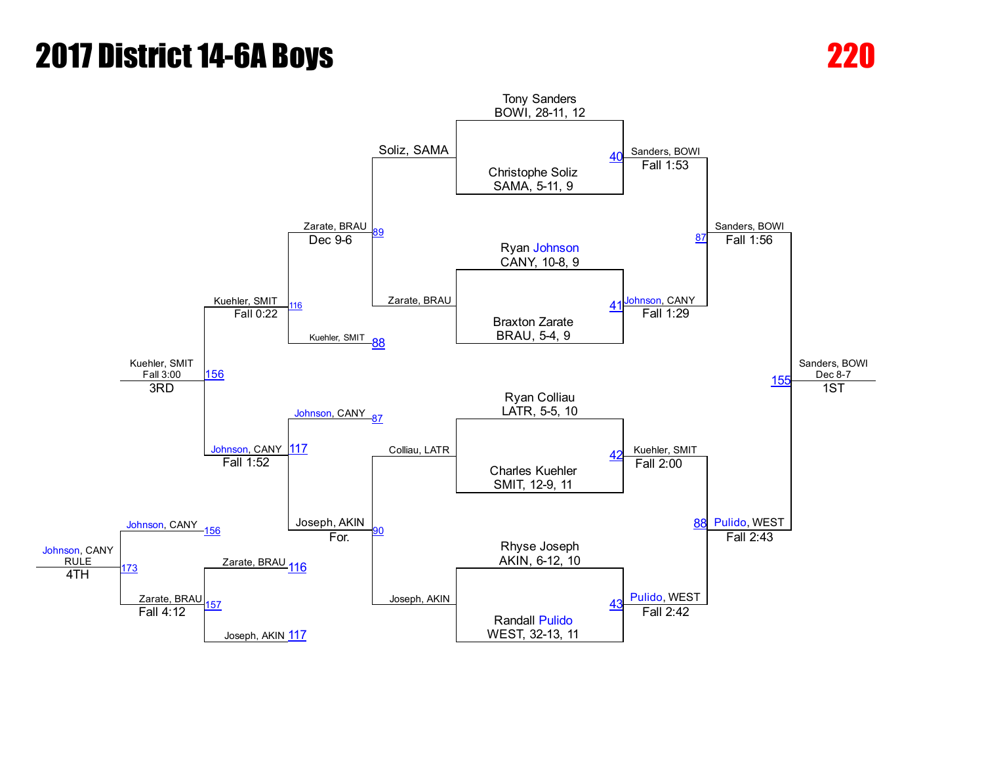## **2017 District 14-6A Boys 220 Property 220 Property**